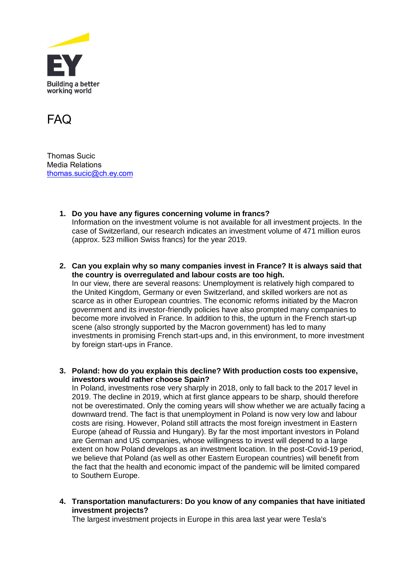



Thomas Sucic Media Relations [thomas.sucic@ch.ey.com](mailto:tristan.hahn@ch.ey.com)

- **1. Do you have any figures concerning volume in francs?** Information on the investment volume is not available for all investment projects. In the case of Switzerland, our research indicates an investment volume of 471 million euros (approx. 523 million Swiss francs) for the year 2019.
- **2. Can you explain why so many companies invest in France? It is always said that the country is overregulated and labour costs are too high.** In our view, there are several reasons: Unemployment is relatively high compared to the United Kingdom, Germany or even Switzerland, and skilled workers are not as scarce as in other European countries. The economic reforms initiated by the Macron government and its investor-friendly policies have also prompted many companies to become more involved in France. In addition to this, the upturn in the French start-up scene (also strongly supported by the Macron government) has led to many
	- investments in promising French start-ups and, in this environment, to more investment by foreign start-ups in France.
- **3. Poland: how do you explain this decline? With production costs too expensive, investors would rather choose Spain?**

In Poland, investments rose very sharply in 2018, only to fall back to the 2017 level in 2019. The decline in 2019, which at first glance appears to be sharp, should therefore not be overestimated. Only the coming years will show whether we are actually facing a downward trend. The fact is that unemployment in Poland is now very low and labour costs are rising. However, Poland still attracts the most foreign investment in Eastern Europe (ahead of Russia and Hungary). By far the most important investors in Poland are German and US companies, whose willingness to invest will depend to a large extent on how Poland develops as an investment location. In the post-Covid-19 period, we believe that Poland (as well as other Eastern European countries) will benefit from the fact that the health and economic impact of the pandemic will be limited compared to Southern Europe.

**4. Transportation manufacturers: Do you know of any companies that have initiated investment projects?**

The largest investment projects in Europe in this area last year were Tesla's